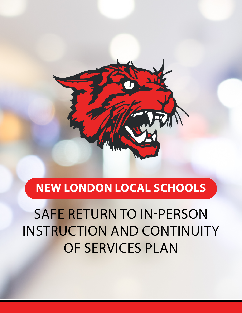

## **NEW LONDON LOCAL SCHOOLS**

SAFE RETURN TO IN-PERSON INSTRUCTION AND CONTINUITY OF SERVICES PLAN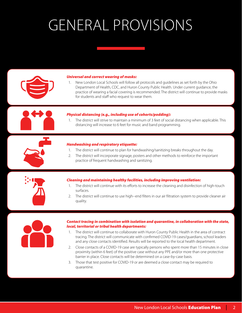# GENERAL PROVISIONS



### *Universal and correct wearing of masks:*

1. New London Local Schools will follow all protocols and guidelines as set forth by the Ohio Department of Health, CDC, and Huron County Public Health. Under current guidance, the practice of wearing a facial covering is recommended. The district will continue to provide masks for students and staff who request to wear them.

### *Physical distancing (e.g., including use of cohorts/podding):*

1. The district will strive to maintain a minimum of 3 feet of social distancing when applicable. This distancing will increase to 6 feet for music and band programming.

#### *Handwashing and respiratory etiquette:*

- 1. The district will continue to plan for handwashing/sanitizing breaks throughout the day.
- 2. The district will incorporate signage, posters and other methods to reinforce the important practice of frequent handwashing and sanitizing.

### *Cleaning and maintaining healthy facilities, including improving ventilation:*

- 1. The district will continue with its efforts to increase the cleaning and disinfection of high-touch surfaces.
- 2. The district will continue to use high--end filters in our air filtration system to provide cleaner air quality.



### *Contact tracing in combination with isolation and quarantine, in collaboration with the state, local, territorial or tribal health departments:*

- 1. The district will continue to collaborate with Huron County Public Health in the area of contract tracing. The district will communicate with confirmed COVID-19 cases/guardians, school leaders and any close contacts identified. Results will be reported to the local health department.
- 2. Close contacts of a COVID-19 case are typically persons who spent more than 15 minutes in close proximity (within 6 feet) of the positive case without any PPE and/or more than one protective barrier in place. Close contacts will be determined on a case-by-case basis.
- 3. Those that test positive for COVID-19 or are deemed a close contact may be required to quarantine.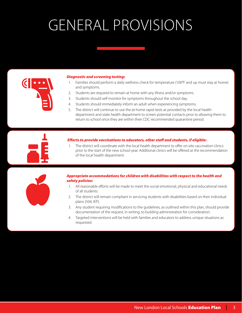# GENERAL PROVISIONS



### *Diagnostic and screening testing:*

- 1. Families should perform a daily wellness check for temperature (100°F and up must stay at home) and symptoms.
- 2. Students are required to remain at home with any illness and/or symptoms.
- 3. Students should self-monitor for symptoms throughout the school day.
- 4. Students should immediately inform an adult when experiencing symptoms.
- 5. The district will continue to use the at-home rapid tests as provided by the local health department and state health department to screen potential contacts prior to allowing them to return to school once they are within their CDC recommended quarantine period.

### *Efforts to provide vaccinations to educators, other staff and students, if eligible:*

1. The district will coordinate with the local health department to offer on-site vaccination clinics prior to the start of the new school year. Additional clinics will be offered at the recommendation of the local health department.



### *Appropriate accommodations for children with disabilities with respect to the health and safety policies:*

- 1. All reasonable efforts will be made to meet the social-emotional, physical and educational needs of all students.
- 2. The district will remain compliant in servicing students with disabilities based on their individual plans (504, IEP).
- 3. Any student requiring modifications to the guidelines, as outlined within this plan, should provide documentation of the request, in writing, to building administration for consideration.
- 4. Targeted interventions will be held with families and educators to address unique situations as requested.